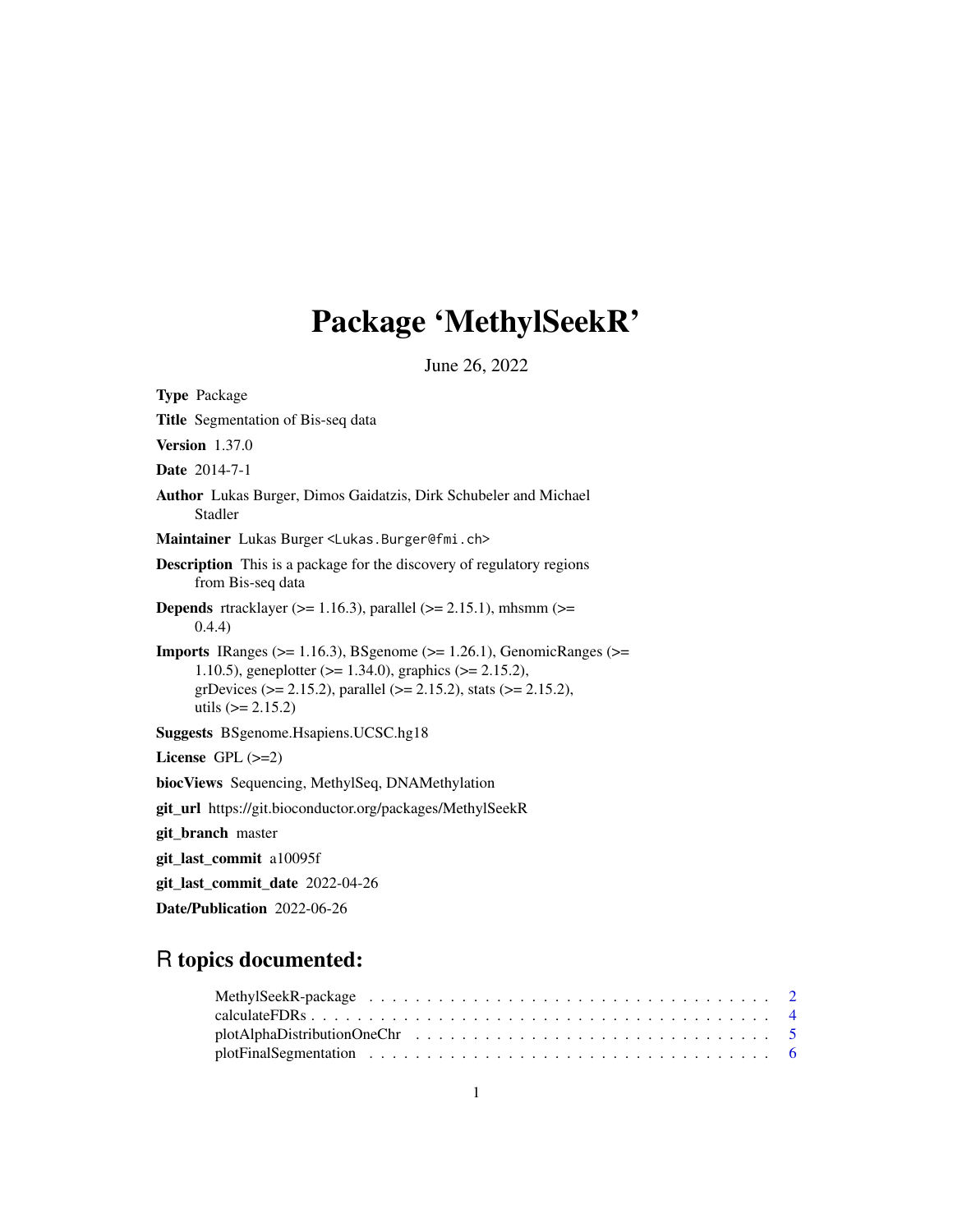# Package 'MethylSeekR'

June 26, 2022

| <b>Type Package</b>                                                                                                                                                                                                                                                |
|--------------------------------------------------------------------------------------------------------------------------------------------------------------------------------------------------------------------------------------------------------------------|
| <b>Title</b> Segmentation of Bis-seq data                                                                                                                                                                                                                          |
| <b>Version</b> 1.37.0                                                                                                                                                                                                                                              |
| <b>Date</b> 2014-7-1                                                                                                                                                                                                                                               |
| <b>Author</b> Lukas Burger, Dimos Gaidatzis, Dirk Schubeler and Michael<br>Stadler                                                                                                                                                                                 |
| Maintainer Lukas Burger <lukas. burger@fmi.ch=""></lukas.>                                                                                                                                                                                                         |
| <b>Description</b> This is a package for the discovery of regulatory regions<br>from Bis-seq data                                                                                                                                                                  |
| <b>Depends</b> rtracklayer ( $> = 1.16.3$ ), parallel ( $> = 2.15.1$ ), mhsmm ( $> =$<br>(0.4.4)                                                                                                                                                                   |
| <b>Imports</b> IRanges ( $>= 1.16.3$ ), BSgenome ( $>= 1.26.1$ ), GenomicRanges ( $>=$<br>1.10.5), geneplotter ( $> = 1.34.0$ ), graphics ( $> = 2.15.2$ ),<br>grDevices ( $> = 2.15.2$ ), parallel ( $>= 2.15.2$ ), stats ( $>= 2.15.2$ ),<br>utils $(>= 2.15.2)$ |
| <b>Suggests</b> BSgenome.Hsapiens.UCSC.hg18                                                                                                                                                                                                                        |
| License $GPL$ $(>=2)$                                                                                                                                                                                                                                              |
| biocViews Sequencing, MethylSeq, DNAMethylation                                                                                                                                                                                                                    |
| git_url https://git.bioconductor.org/packages/MethylSeekR                                                                                                                                                                                                          |
| git_branch master                                                                                                                                                                                                                                                  |
| git_last_commit a10095f                                                                                                                                                                                                                                            |
| git_last_commit_date 2022-04-26                                                                                                                                                                                                                                    |
| Date/Publication 2022-06-26                                                                                                                                                                                                                                        |

### R topics documented: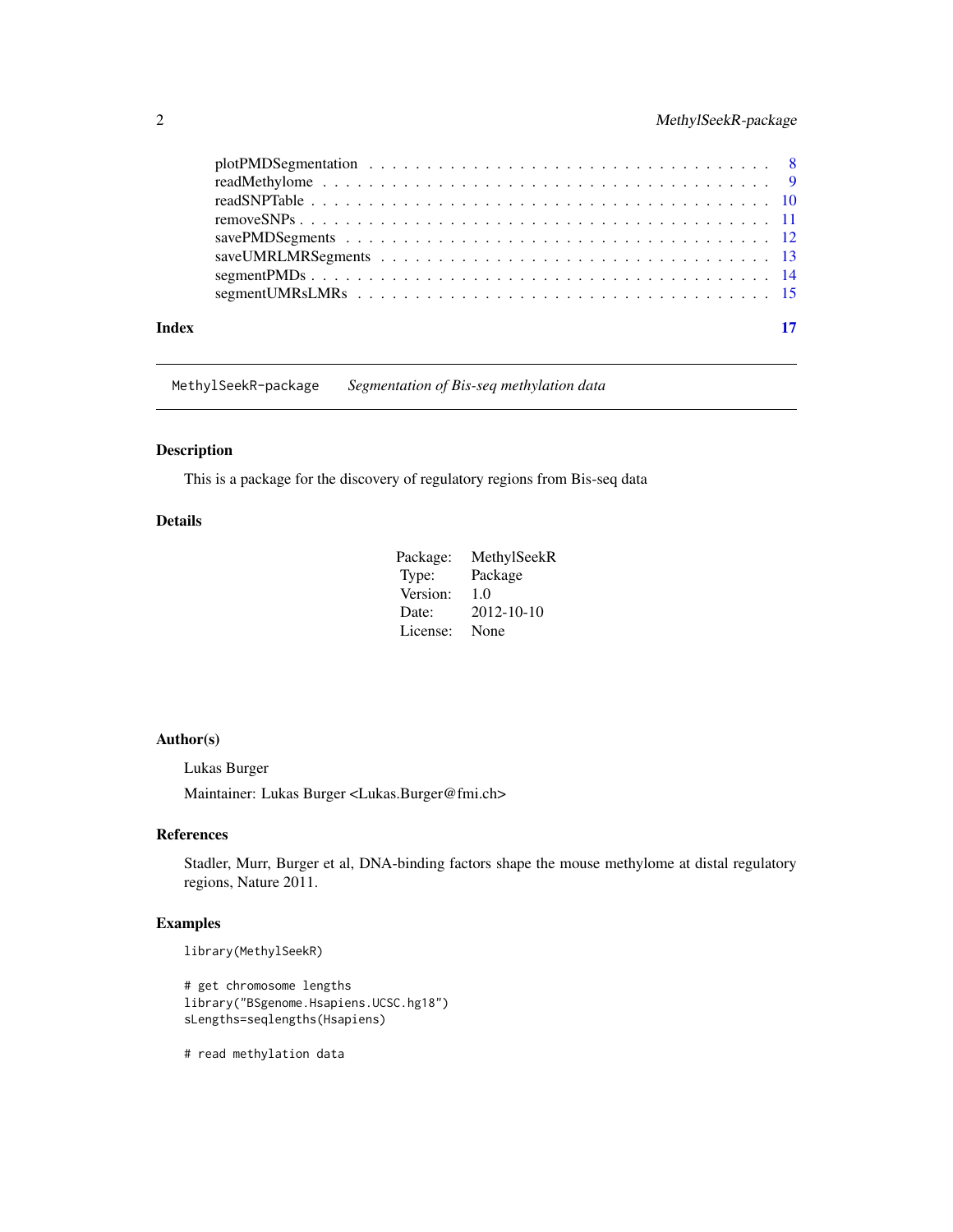<span id="page-1-0"></span>

| Index | 17 |  |
|-------|----|--|
|       |    |  |

MethylSeekR-package *Segmentation of Bis-seq methylation data*

#### **Description**

This is a package for the discovery of regulatory regions from Bis-seq data

#### Details

| Package: | MethylSeekR |
|----------|-------------|
| Type:    | Package     |
| Version: | 1.0         |
| Date:    | 2012-10-10  |
| License: | None        |

#### Author(s)

Lukas Burger

Maintainer: Lukas Burger <Lukas.Burger@fmi.ch>

#### References

Stadler, Murr, Burger et al, DNA-binding factors shape the mouse methylome at distal regulatory regions, Nature 2011.

### Examples

```
library(MethylSeekR)
```

```
# get chromosome lengths
library("BSgenome.Hsapiens.UCSC.hg18")
sLengths=seqlengths(Hsapiens)
```
# read methylation data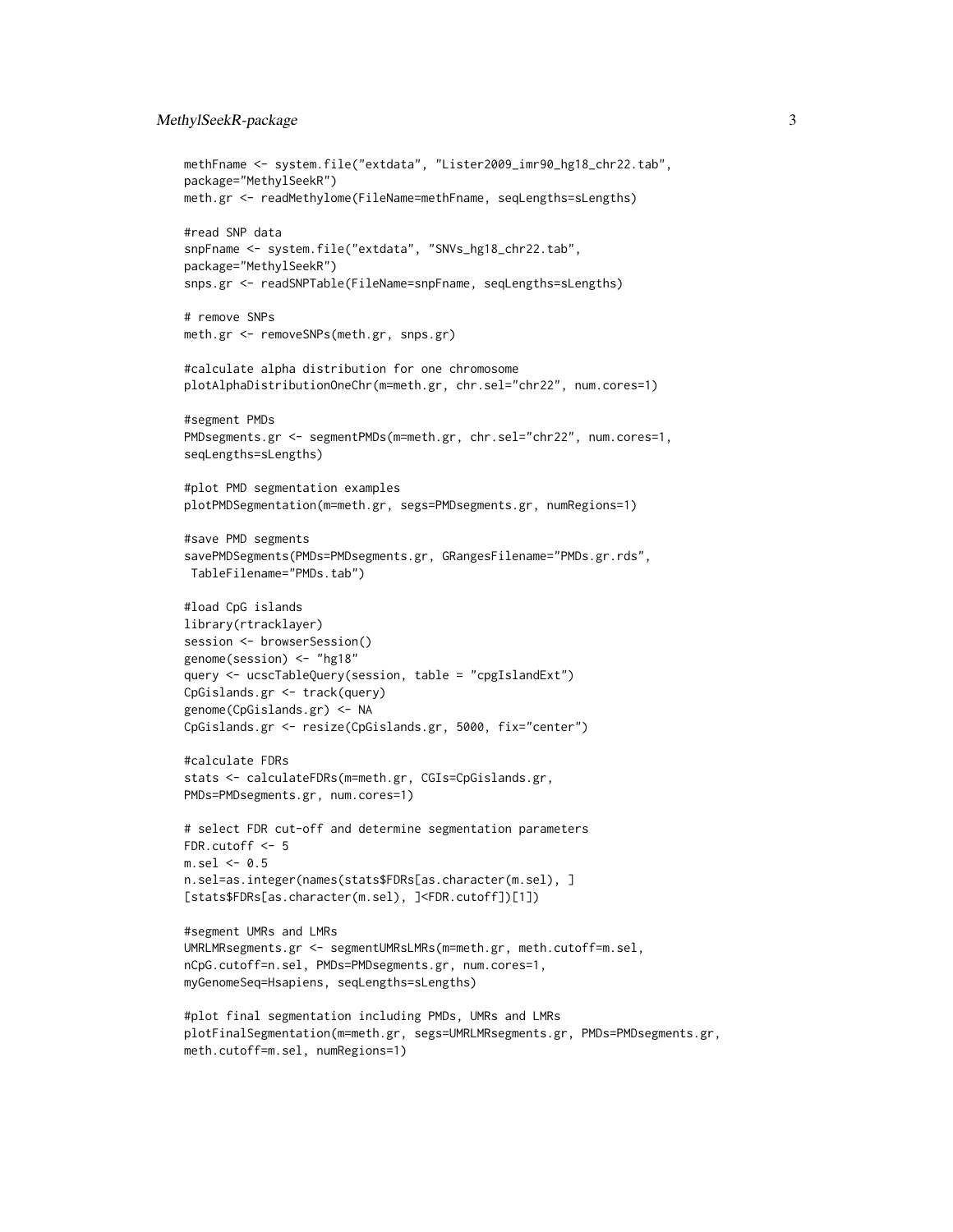#### MethylSeekR-package 3

```
methFname <- system.file("extdata", "Lister2009_imr90_hg18_chr22.tab",
package="MethylSeekR")
meth.gr <- readMethylome(FileName=methFname, seqLengths=sLengths)
#read SNP data
snpFname <- system.file("extdata", "SNVs_hg18_chr22.tab",
package="MethylSeekR")
snps.gr <- readSNPTable(FileName=snpFname, seqLengths=sLengths)
# remove SNPs
meth.gr <- removeSNPs(meth.gr, snps.gr)
#calculate alpha distribution for one chromosome
plotAlphaDistributionOneChr(m=meth.gr, chr.sel="chr22", num.cores=1)
#segment PMDs
PMDsegments.gr <- segmentPMDs(m=meth.gr, chr.sel="chr22", num.cores=1,
seqLengths=sLengths)
#plot PMD segmentation examples
plotPMDSegmentation(m=meth.gr, segs=PMDsegments.gr, numRegions=1)
#save PMD segments
savePMDSegments(PMDs=PMDsegments.gr, GRangesFilename="PMDs.gr.rds",
TableFilename="PMDs.tab")
#load CpG islands
library(rtracklayer)
session <- browserSession()
genome(session) <- "hg18"
query <- ucscTableQuery(session, table = "cpgIslandExt")
CpGislands.gr <- track(query)
genome(CpGislands.gr) <- NA
CpGislands.gr <- resize(CpGislands.gr, 5000, fix="center")
#calculate FDRs
stats <- calculateFDRs(m=meth.gr, CGIs=CpGislands.gr,
PMDs=PMDsegments.gr, num.cores=1)
# select FDR cut-off and determine segmentation parameters
FDR.cutoff <-5m.sel < -0.5n.sel=as.integer(names(stats$FDRs[as.character(m.sel), ]
[stats$FDRs[as.character(m.sel), ]<FDR.cutoff])[1])
#segment UMRs and LMRs
UMRLMRsegments.gr <- segmentUMRsLMRs(m=meth.gr, meth.cutoff=m.sel,
nCpG.cutoff=n.sel, PMDs=PMDsegments.gr, num.cores=1,
myGenomeSeq=Hsapiens, seqLengths=sLengths)
#plot final segmentation including PMDs, UMRs and LMRs
plotFinalSegmentation(m=meth.gr, segs=UMRLMRsegments.gr, PMDs=PMDsegments.gr,
meth.cutoff=m.sel, numRegions=1)
```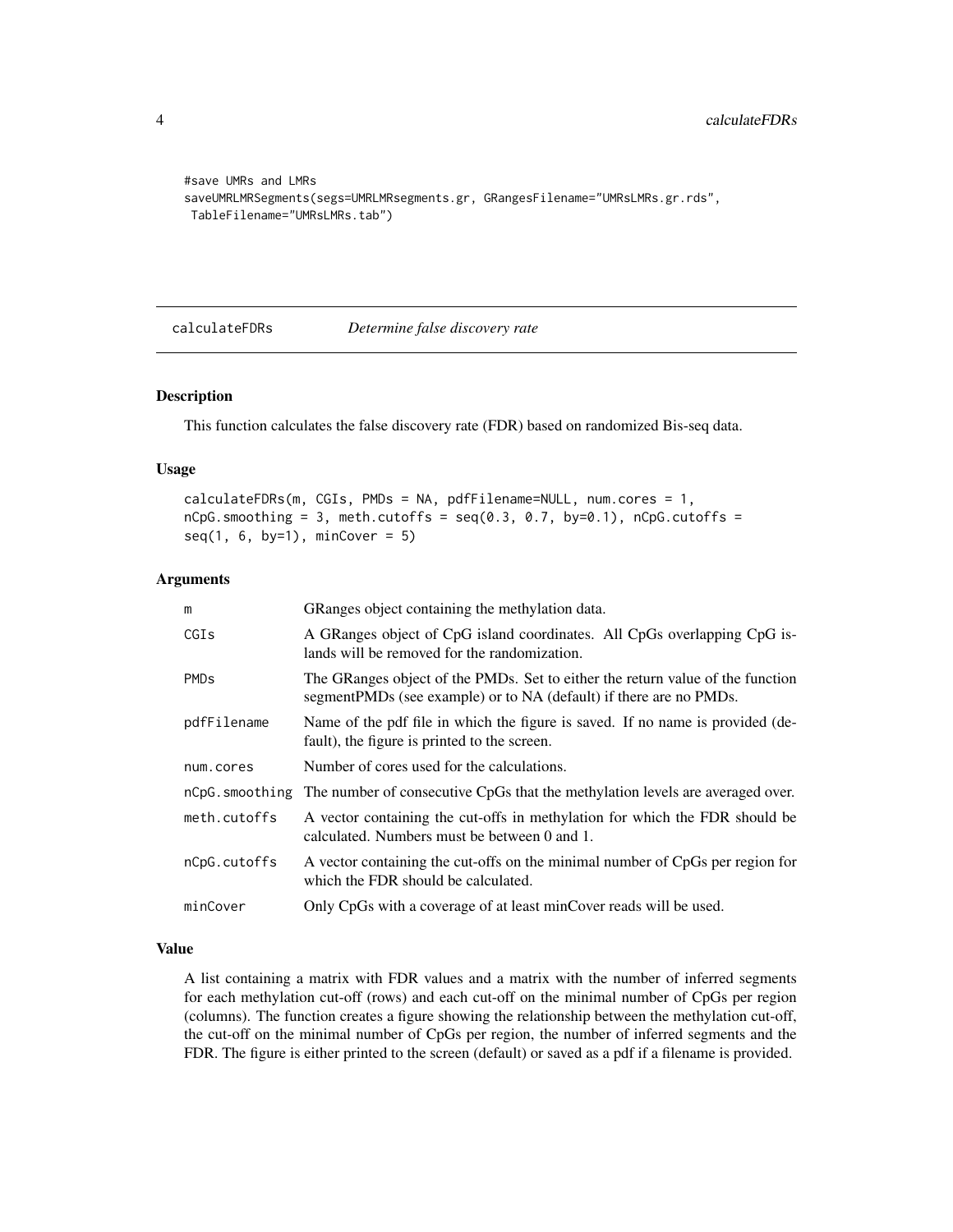```
#save UMRs and LMRs
saveUMRLMRSegments(segs=UMRLMRsegments.gr, GRangesFilename="UMRsLMRs.gr.rds",
TableFilename="UMRsLMRs.tab")
```
calculateFDRs *Determine false discovery rate*

#### Description

This function calculates the false discovery rate (FDR) based on randomized Bis-seq data.

#### Usage

```
calculateFDRs(m, CGIs, PMDs = NA, pdfFilename=NULL, num.cores = 1,
nCpG.smoothing = 3, meth.cutoffs = seq(0.3, 0.7, by=0.1), nCpG.cutoffs =seq(1, 6, by=1), minCover = 5)
```
#### Arguments

| m                      | GRanges object containing the methylation data.                                                                                                       |
|------------------------|-------------------------------------------------------------------------------------------------------------------------------------------------------|
| CGIs                   | A GRanges object of CpG island coordinates. All CpGs overlapping CpG is-<br>lands will be removed for the randomization.                              |
| <b>PMD<sub>s</sub></b> | The GRanges object of the PMDs. Set to either the return value of the function<br>segment PMDs (see example) or to NA (default) if there are no PMDs. |
| pdfFilename            | Name of the pdf file in which the figure is saved. If no name is provided (de-<br>fault), the figure is printed to the screen.                        |
| num.cores              | Number of cores used for the calculations.                                                                                                            |
|                        | nCpG smoothing The number of consecutive CpGs that the methylation levels are averaged over.                                                          |
| meth.cutoffs           | A vector containing the cut-offs in methylation for which the FDR should be<br>calculated. Numbers must be between 0 and 1.                           |
| nCpG.cutoffs           | A vector containing the cut-offs on the minimal number of CpGs per region for<br>which the FDR should be calculated.                                  |
| minCover               | Only CpGs with a coverage of at least minCover reads will be used.                                                                                    |

#### Value

A list containing a matrix with FDR values and a matrix with the number of inferred segments for each methylation cut-off (rows) and each cut-off on the minimal number of CpGs per region (columns). The function creates a figure showing the relationship between the methylation cut-off, the cut-off on the minimal number of CpGs per region, the number of inferred segments and the FDR. The figure is either printed to the screen (default) or saved as a pdf if a filename is provided.

<span id="page-3-0"></span>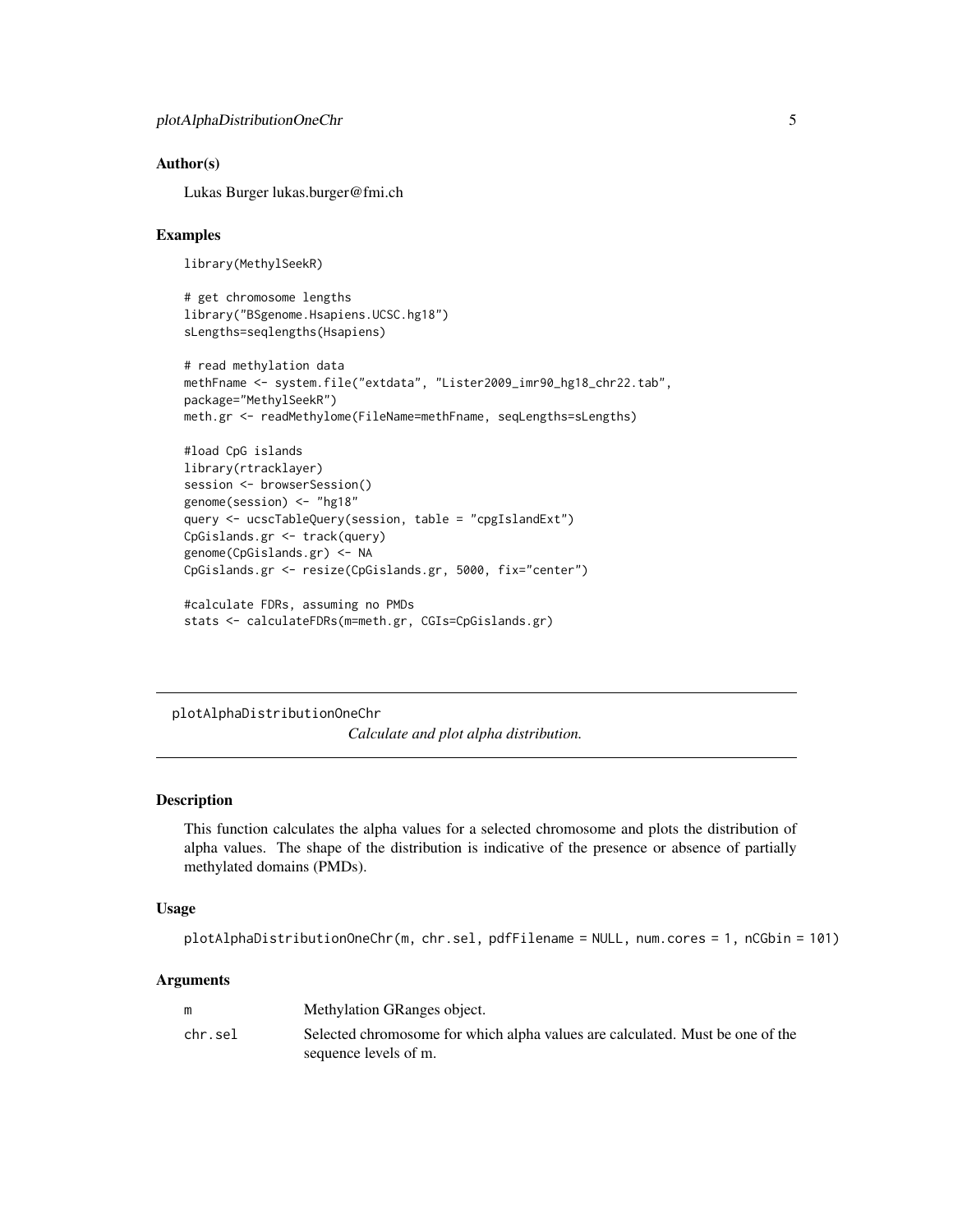#### <span id="page-4-0"></span>Author(s)

Lukas Burger lukas.burger@fmi.ch

#### Examples

```
library(MethylSeekR)
```

```
# get chromosome lengths
library("BSgenome.Hsapiens.UCSC.hg18")
sLengths=seqlengths(Hsapiens)
```

```
# read methylation data
methFname <- system.file("extdata", "Lister2009_imr90_hg18_chr22.tab",
package="MethylSeekR")
meth.gr <- readMethylome(FileName=methFname, seqLengths=sLengths)
```

```
#load CpG islands
library(rtracklayer)
session <- browserSession()
genome(session) <- "hg18"
query <- ucscTableQuery(session, table = "cpgIslandExt")
CpGislands.gr <- track(query)
genome(CpGislands.gr) <- NA
CpGislands.gr <- resize(CpGislands.gr, 5000, fix="center")
#calculate FDRs, assuming no PMDs
```

```
stats <- calculateFDRs(m=meth.gr, CGIs=CpGislands.gr)
```
plotAlphaDistributionOneChr

*Calculate and plot alpha distribution.*

#### Description

This function calculates the alpha values for a selected chromosome and plots the distribution of alpha values. The shape of the distribution is indicative of the presence or absence of partially methylated domains (PMDs).

#### Usage

```
plotAlphaDistributionOneChr(m, chr.sel, pdfFilename = NULL, num.cores = 1, nCGbin = 101)
```
#### **Arguments**

| m       | Methylation GRanges object.                                                   |
|---------|-------------------------------------------------------------------------------|
| chr.sel | Selected chromosome for which alpha values are calculated. Must be one of the |
|         | sequence levels of m.                                                         |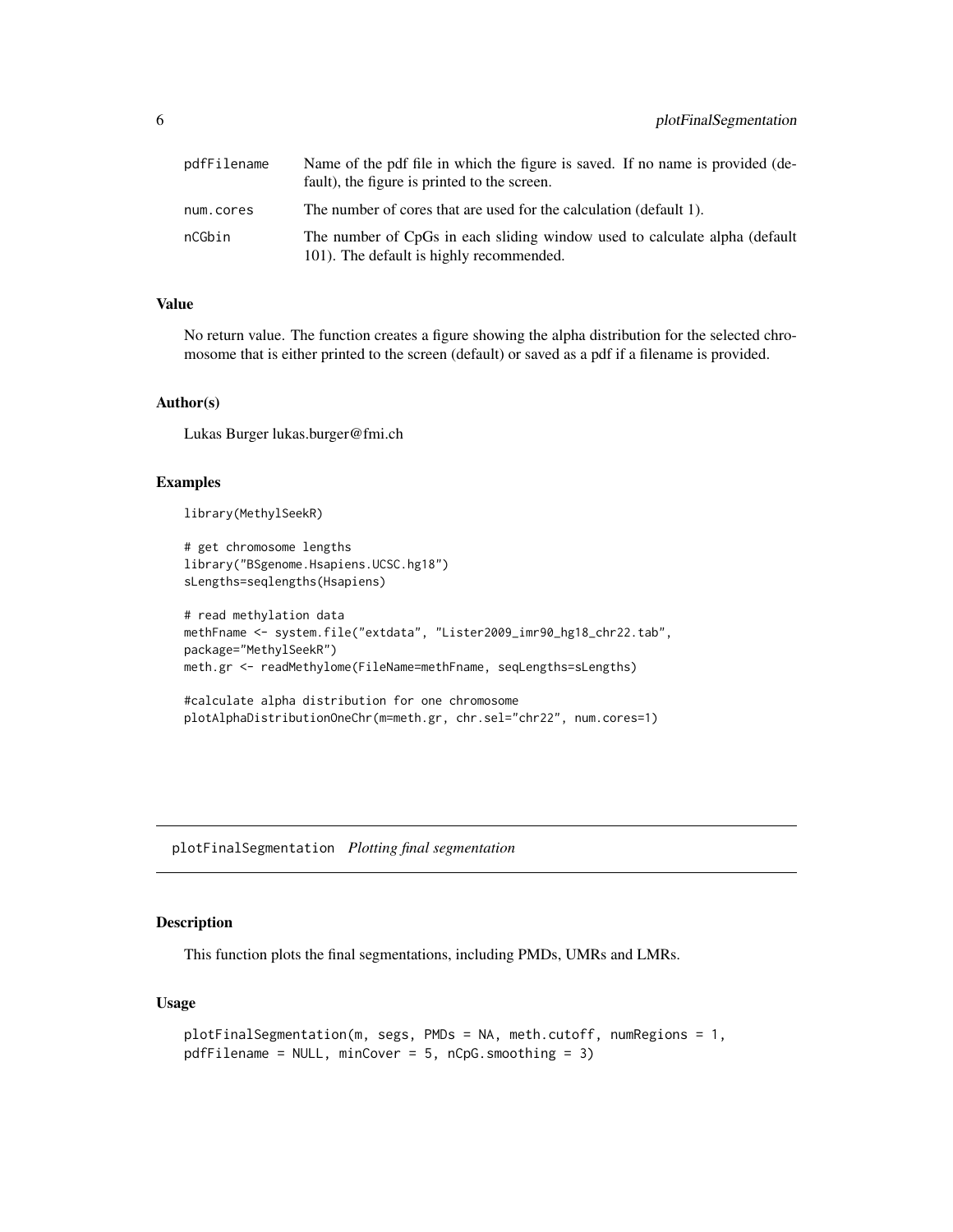<span id="page-5-0"></span>

| pdfFilename | Name of the pdf file in which the figure is saved. If no name is provided (de-<br>fault), the figure is printed to the screen. |
|-------------|--------------------------------------------------------------------------------------------------------------------------------|
| num.cores   | The number of cores that are used for the calculation (default 1).                                                             |
| nCGbin      | The number of CpGs in each sliding window used to calculate alpha (default<br>101). The default is highly recommended.         |

#### Value

No return value. The function creates a figure showing the alpha distribution for the selected chromosome that is either printed to the screen (default) or saved as a pdf if a filename is provided.

#### Author(s)

Lukas Burger lukas.burger@fmi.ch

#### Examples

library(MethylSeekR)

```
# get chromosome lengths
library("BSgenome.Hsapiens.UCSC.hg18")
sLengths=seqlengths(Hsapiens)
```

```
# read methylation data
methFname <- system.file("extdata", "Lister2009_imr90_hg18_chr22.tab",
package="MethylSeekR")
meth.gr <- readMethylome(FileName=methFname, seqLengths=sLengths)
```

```
#calculate alpha distribution for one chromosome
plotAlphaDistributionOneChr(m=meth.gr, chr.sel="chr22", num.cores=1)
```
plotFinalSegmentation *Plotting final segmentation*

#### Description

This function plots the final segmentations, including PMDs, UMRs and LMRs.

#### Usage

```
plotFinalSegmentation(m, segs, PMDs = NA, meth.cutoff, numRegions = 1,
pdfFilename = NULL, minCover = 5, nCpG.smoothing = 3)
```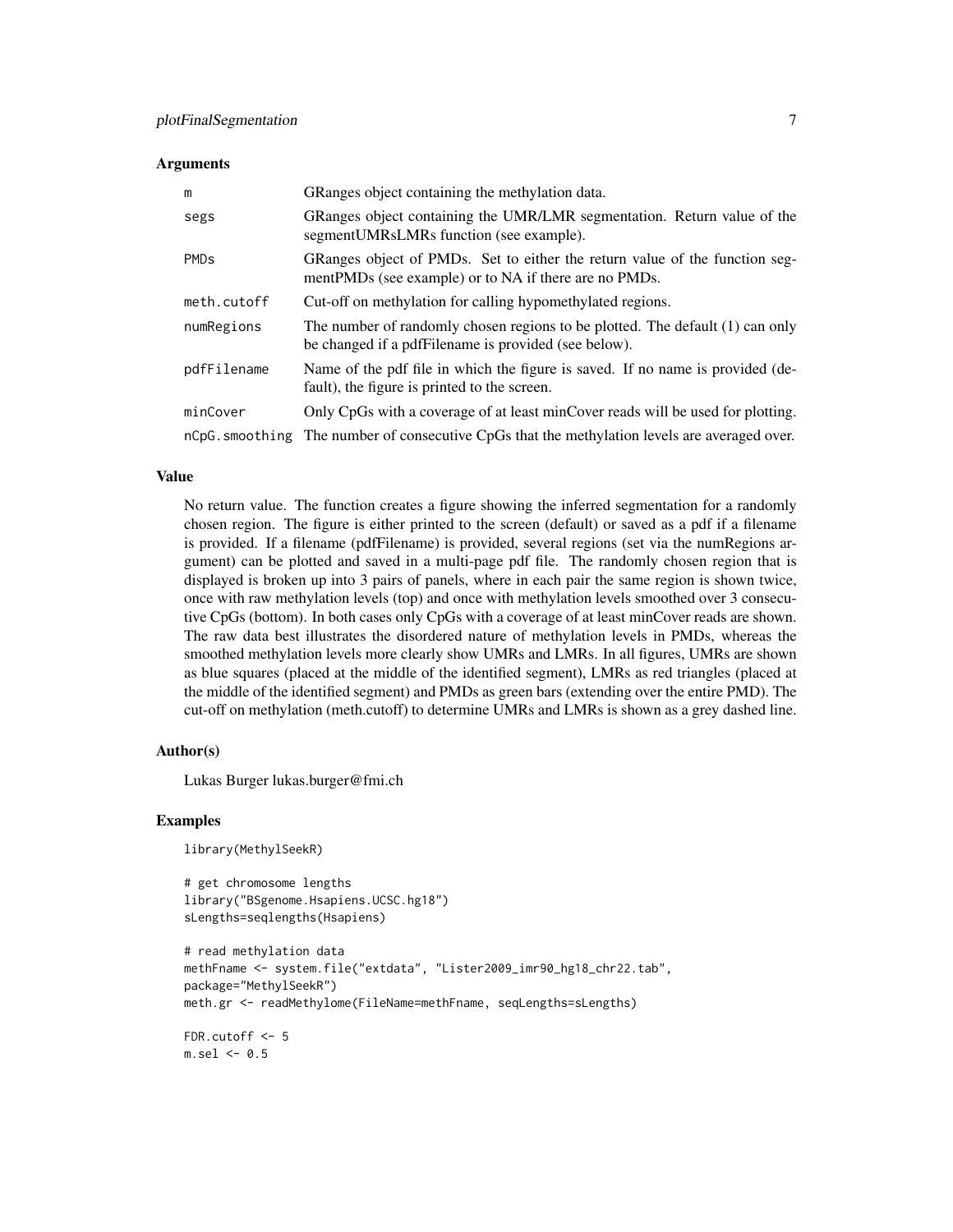#### **Arguments**

| m                      | GRanges object containing the methylation data.                                                                                       |
|------------------------|---------------------------------------------------------------------------------------------------------------------------------------|
| segs                   | GRanges object containing the UMR/LMR segmentation. Return value of the<br>segment UMRsLMRs function (see example).                   |
| <b>PMD<sub>s</sub></b> | GRanges object of PMDs. Set to either the return value of the function seg-<br>mentPMDs (see example) or to NA if there are no PMDs.  |
| meth.cutoff            | Cut-off on methylation for calling hypomethylated regions.                                                                            |
| numRegions             | The number of randomly chosen regions to be plotted. The default (1) can only<br>be changed if a pdfFilename is provided (see below). |
| pdfFilename            | Name of the pdf file in which the figure is saved. If no name is provided (de-<br>fault), the figure is printed to the screen.        |
| minCover               | Only CpGs with a coverage of at least minCover reads will be used for plotting.                                                       |
|                        | nCpG, smoothing The number of consecutive CpGs that the methylation levels are averaged over.                                         |

#### Value

No return value. The function creates a figure showing the inferred segmentation for a randomly chosen region. The figure is either printed to the screen (default) or saved as a pdf if a filename is provided. If a filename (pdfFilename) is provided, several regions (set via the numRegions argument) can be plotted and saved in a multi-page pdf file. The randomly chosen region that is displayed is broken up into 3 pairs of panels, where in each pair the same region is shown twice, once with raw methylation levels (top) and once with methylation levels smoothed over 3 consecutive CpGs (bottom). In both cases only CpGs with a coverage of at least minCover reads are shown. The raw data best illustrates the disordered nature of methylation levels in PMDs, whereas the smoothed methylation levels more clearly show UMRs and LMRs. In all figures, UMRs are shown as blue squares (placed at the middle of the identified segment), LMRs as red triangles (placed at the middle of the identified segment) and PMDs as green bars (extending over the entire PMD). The cut-off on methylation (meth.cutoff) to determine UMRs and LMRs is shown as a grey dashed line.

#### Author(s)

Lukas Burger lukas.burger@fmi.ch

#### Examples

library(MethylSeekR)

```
# get chromosome lengths
library("BSgenome.Hsapiens.UCSC.hg18")
sLengths=seqlengths(Hsapiens)
```

```
# read methylation data
methFname <- system.file("extdata", "Lister2009_imr90_hg18_chr22.tab",
package="MethylSeekR")
meth.gr <- readMethylome(FileName=methFname, seqLengths=sLengths)
```
FDR.cutoff  $<-5$  $m.sel < -0.5$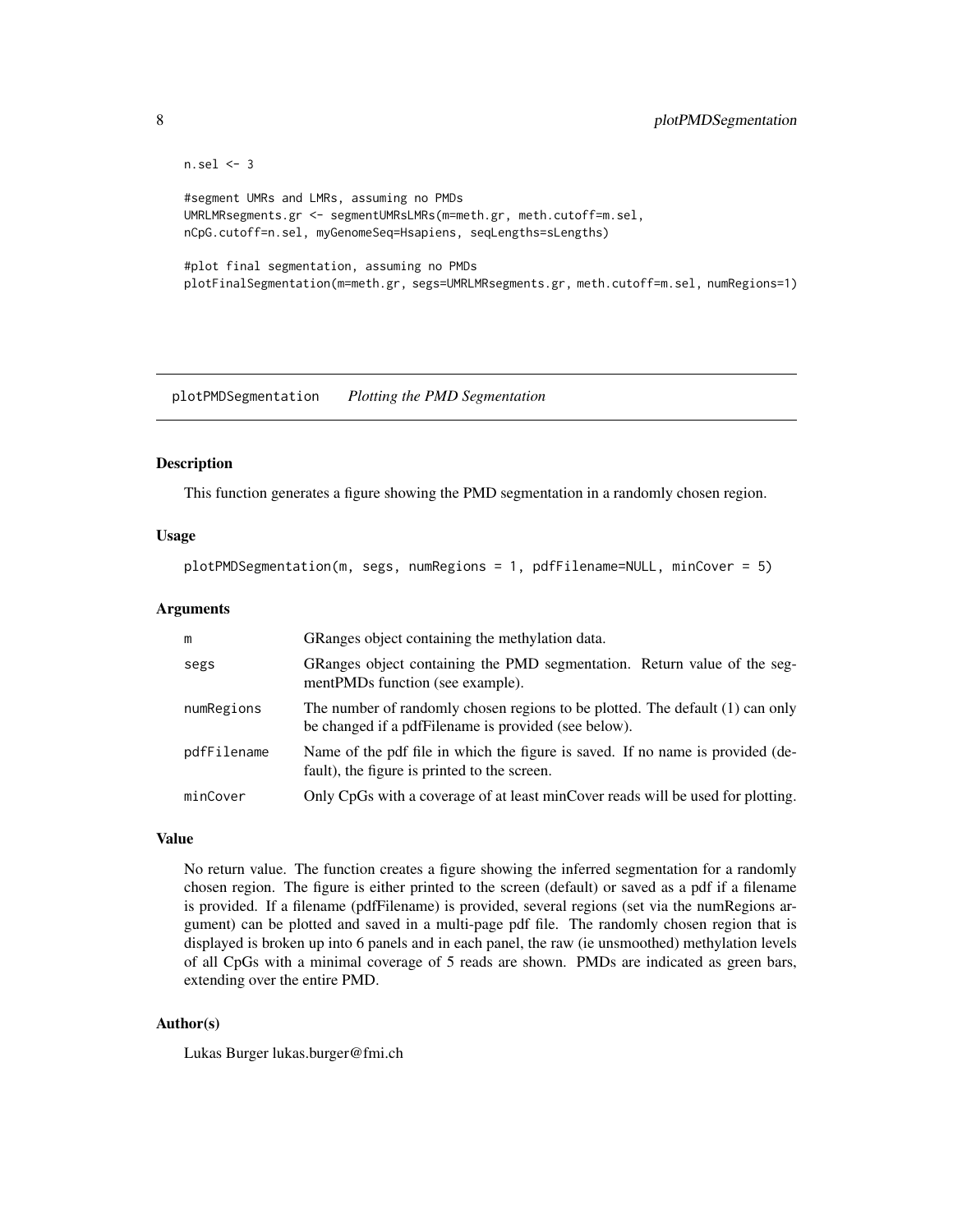```
n.sel <- 3
#segment UMRs and LMRs, assuming no PMDs
UMRLMRsegments.gr <- segmentUMRsLMRs(m=meth.gr, meth.cutoff=m.sel,
nCpG.cutoff=n.sel, myGenomeSeq=Hsapiens, seqLengths=sLengths)
#plot final segmentation, assuming no PMDs
plotFinalSegmentation(m=meth.gr, segs=UMRLMRsegments.gr, meth.cutoff=m.sel, numRegions=1)
```
plotPMDSegmentation *Plotting the PMD Segmentation*

#### Description

This function generates a figure showing the PMD segmentation in a randomly chosen region.

#### Usage

plotPMDSegmentation(m, segs, numRegions = 1, pdfFilename=NULL, minCover = 5)

#### Arguments

| m           | GRanges object containing the methylation data.                                                                                       |
|-------------|---------------------------------------------------------------------------------------------------------------------------------------|
| segs        | GRanges object containing the PMD segmentation. Return value of the seg-<br>mentPMDs function (see example).                          |
| numRegions  | The number of randomly chosen regions to be plotted. The default (1) can only<br>be changed if a pdfFilename is provided (see below). |
| pdfFilename | Name of the pdf file in which the figure is saved. If no name is provided (de-<br>fault), the figure is printed to the screen.        |
| minCover    | Only CpGs with a coverage of at least minCover reads will be used for plotting.                                                       |

#### Value

No return value. The function creates a figure showing the inferred segmentation for a randomly chosen region. The figure is either printed to the screen (default) or saved as a pdf if a filename is provided. If a filename (pdfFilename) is provided, several regions (set via the numRegions argument) can be plotted and saved in a multi-page pdf file. The randomly chosen region that is displayed is broken up into 6 panels and in each panel, the raw (ie unsmoothed) methylation levels of all CpGs with a minimal coverage of 5 reads are shown. PMDs are indicated as green bars, extending over the entire PMD.

#### Author(s)

Lukas Burger lukas.burger@fmi.ch

<span id="page-7-0"></span>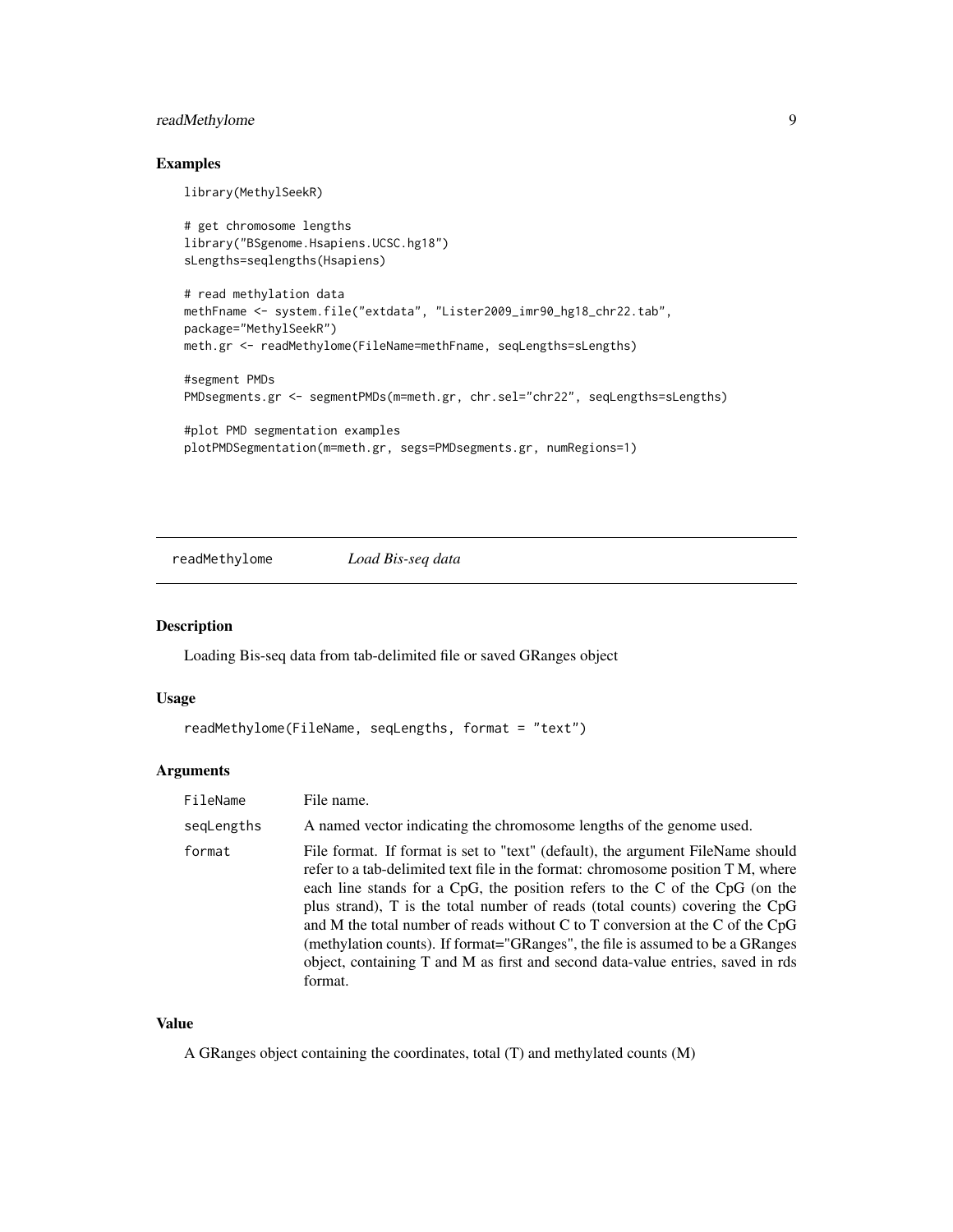#### <span id="page-8-0"></span>readMethylome 9

#### Examples

library(MethylSeekR)

```
# get chromosome lengths
library("BSgenome.Hsapiens.UCSC.hg18")
sLengths=seqlengths(Hsapiens)
# read methylation data
methFname <- system.file("extdata", "Lister2009_imr90_hg18_chr22.tab",
package="MethylSeekR")
meth.gr <- readMethylome(FileName=methFname, seqLengths=sLengths)
#segment PMDs
PMDsegments.gr <- segmentPMDs(m=meth.gr, chr.sel="chr22", seqLengths=sLengths)
#plot PMD segmentation examples
plotPMDSegmentation(m=meth.gr, segs=PMDsegments.gr, numRegions=1)
```
readMethylome *Load Bis-seq data*

#### Description

Loading Bis-seq data from tab-delimited file or saved GRanges object

#### Usage

```
readMethylome(FileName, seqLengths, format = "text")
```
#### Arguments

| FileName   | File name.                                                                                                                                                                                                                                                                                                                                                                                                                                                                                                                                                                                          |
|------------|-----------------------------------------------------------------------------------------------------------------------------------------------------------------------------------------------------------------------------------------------------------------------------------------------------------------------------------------------------------------------------------------------------------------------------------------------------------------------------------------------------------------------------------------------------------------------------------------------------|
| segLengths | A named vector indicating the chromosome lengths of the genome used.                                                                                                                                                                                                                                                                                                                                                                                                                                                                                                                                |
| format     | File format. If format is set to "text" (default), the argument FileName should<br>refer to a tab-delimited text file in the format: chromosome position T M, where<br>each line stands for a CpG, the position refers to the C of the CpG (on the<br>plus strand), T is the total number of reads (total counts) covering the CpG<br>and M the total number of reads without C to T conversion at the C of the CpG<br>(methylation counts). If format="GRanges", the file is assumed to be a GRanges<br>object, containing T and M as first and second data-value entries, saved in rds<br>format. |

#### Value

A GRanges object containing the coordinates, total (T) and methylated counts (M)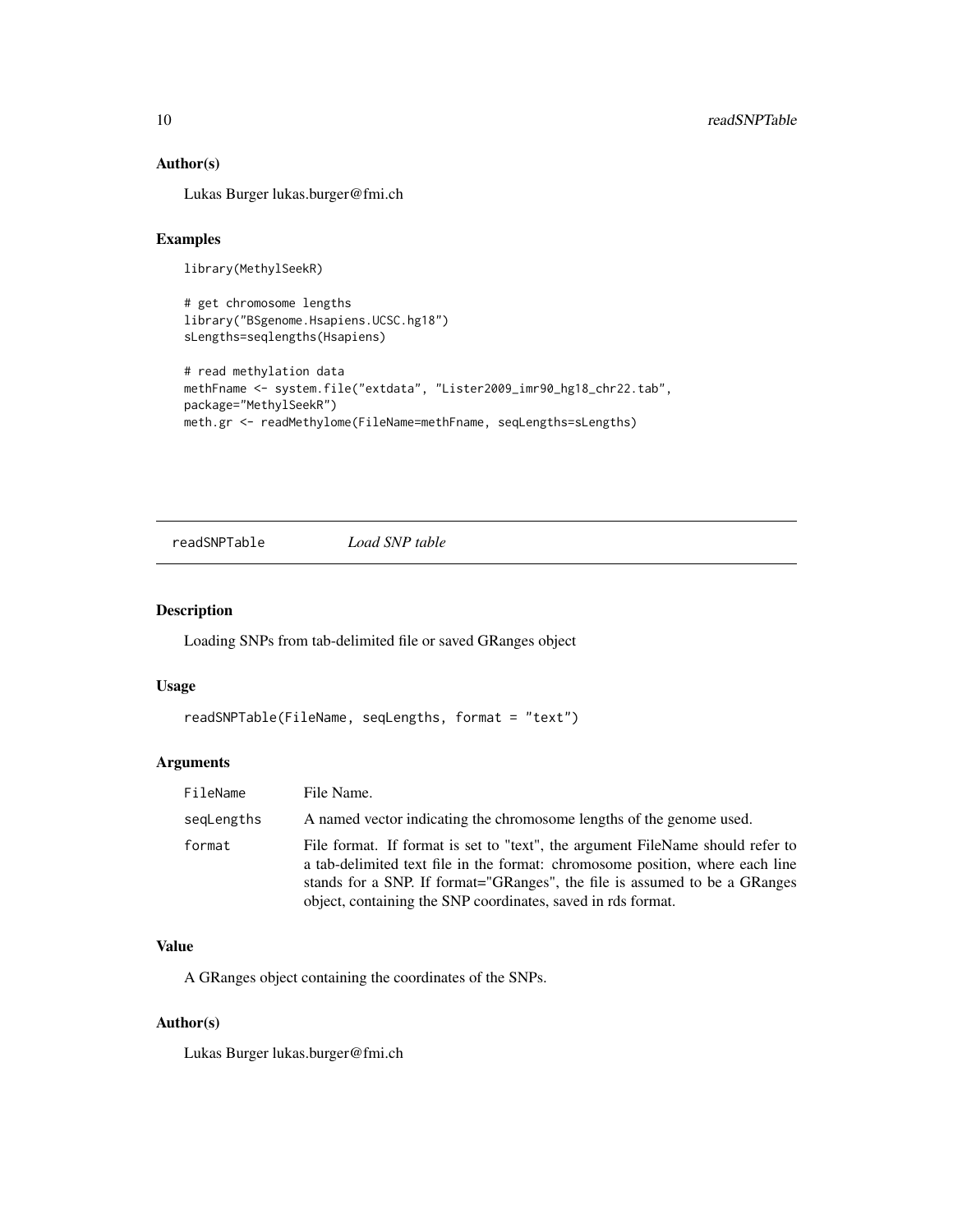#### Author(s)

Lukas Burger lukas.burger@fmi.ch

#### Examples

library(MethylSeekR)

```
# get chromosome lengths
library("BSgenome.Hsapiens.UCSC.hg18")
sLengths=seqlengths(Hsapiens)
```

```
# read methylation data
methFname <- system.file("extdata", "Lister2009_imr90_hg18_chr22.tab",
package="MethylSeekR")
meth.gr <- readMethylome(FileName=methFname, seqLengths=sLengths)
```
readSNPTable *Load SNP table*

#### Description

Loading SNPs from tab-delimited file or saved GRanges object

#### Usage

```
readSNPTable(FileName, seqLengths, format = "text")
```
#### Arguments

| FileName   | File Name.                                                                                                                                                                                                                                                                                                    |
|------------|---------------------------------------------------------------------------------------------------------------------------------------------------------------------------------------------------------------------------------------------------------------------------------------------------------------|
| segLengths | A named vector indicating the chromosome lengths of the genome used.                                                                                                                                                                                                                                          |
| format     | File format. If format is set to "text", the argument FileName should refer to<br>a tab-delimited text file in the format: chromosome position, where each line<br>stands for a SNP. If format="GRanges", the file is assumed to be a GRanges<br>object, containing the SNP coordinates, saved in rds format. |

#### Value

A GRanges object containing the coordinates of the SNPs.

#### Author(s)

Lukas Burger lukas.burger@fmi.ch

<span id="page-9-0"></span>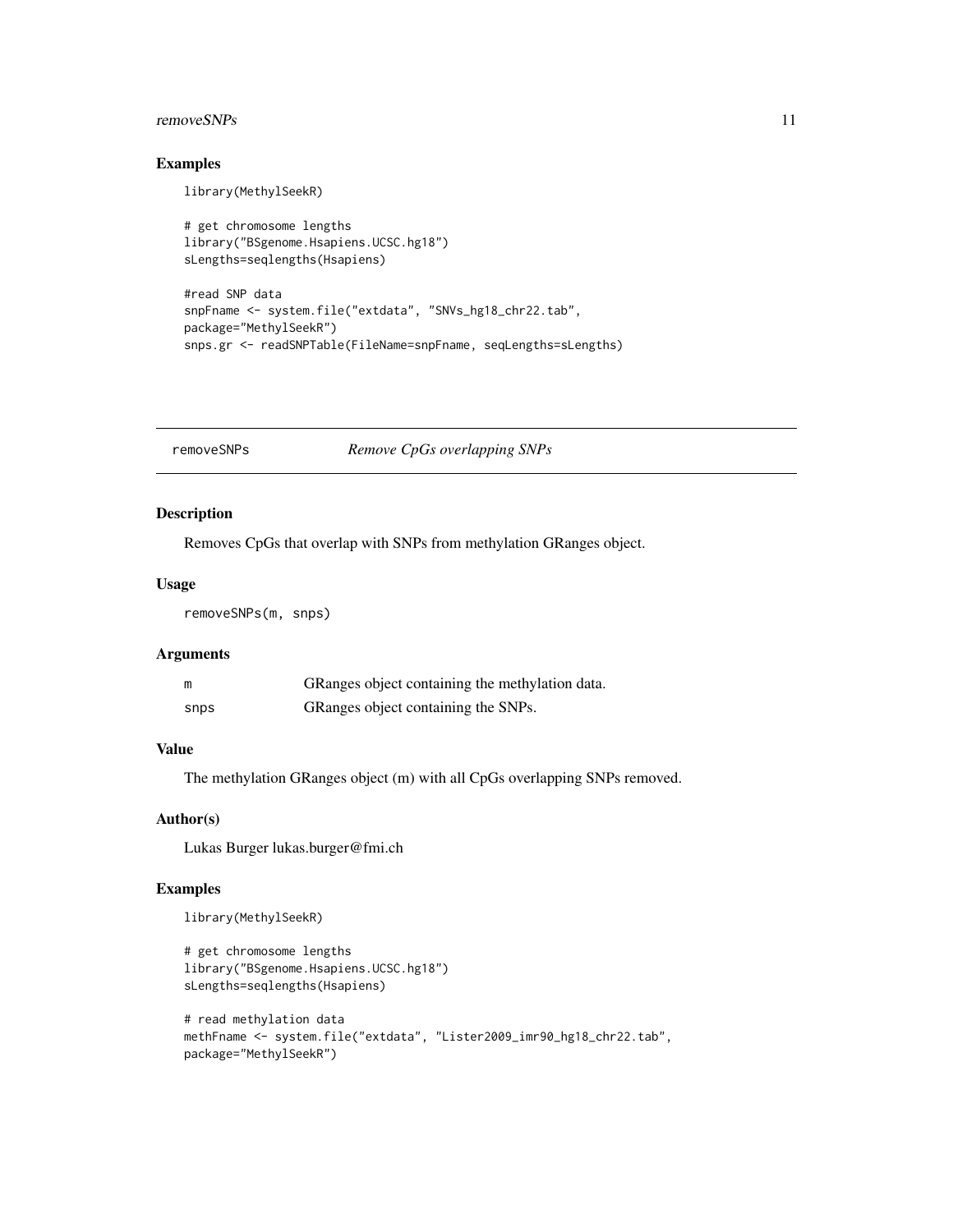#### <span id="page-10-0"></span> $r_{\rm emove}$ SNPs 11

#### Examples

library(MethylSeekR)

```
# get chromosome lengths
library("BSgenome.Hsapiens.UCSC.hg18")
sLengths=seqlengths(Hsapiens)
#read SNP data
snpFname <- system.file("extdata", "SNVs_hg18_chr22.tab",
package="MethylSeekR")
```

```
snps.gr <- readSNPTable(FileName=snpFname, seqLengths=sLengths)
```
removeSNPs *Remove CpGs overlapping SNPs*

#### Description

Removes CpGs that overlap with SNPs from methylation GRanges object.

#### Usage

removeSNPs(m, snps)

#### Arguments

| m    | GRanges object containing the methylation data. |
|------|-------------------------------------------------|
| snps | GRanges object containing the SNPs.             |

#### Value

The methylation GRanges object (m) with all CpGs overlapping SNPs removed.

#### Author(s)

Lukas Burger lukas.burger@fmi.ch

#### Examples

library(MethylSeekR)

```
# get chromosome lengths
library("BSgenome.Hsapiens.UCSC.hg18")
sLengths=seqlengths(Hsapiens)
```

```
# read methylation data
methFname <- system.file("extdata", "Lister2009_imr90_hg18_chr22.tab",
package="MethylSeekR")
```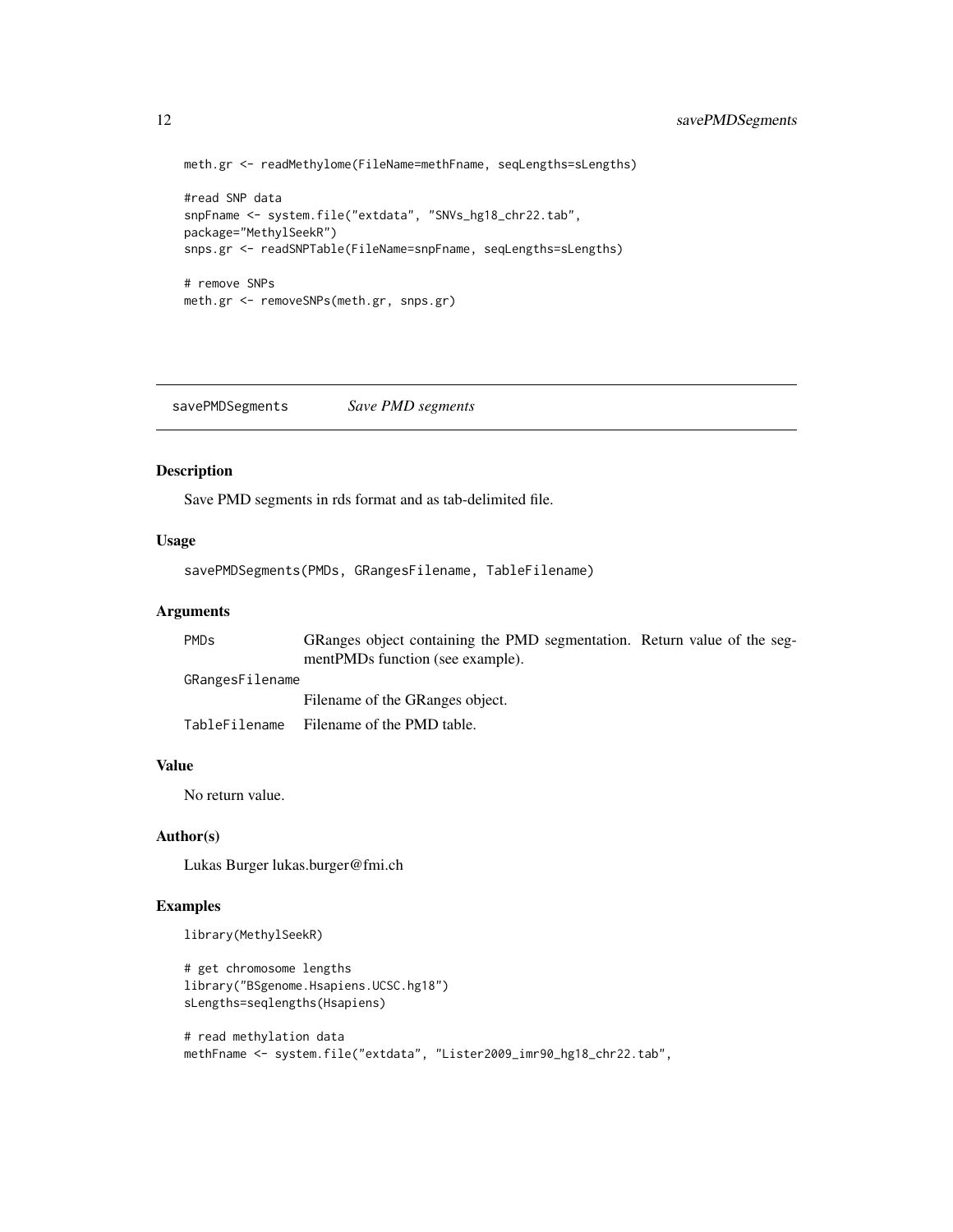```
meth.gr <- readMethylome(FileName=methFname, seqLengths=sLengths)
#read SNP data
snpFname <- system.file("extdata", "SNVs_hg18_chr22.tab",
package="MethylSeekR")
snps.gr <- readSNPTable(FileName=snpFname, seqLengths=sLengths)
# remove SNPs
meth.gr <- removeSNPs(meth.gr, snps.gr)
```
savePMDSegments *Save PMD segments*

#### Description

Save PMD segments in rds format and as tab-delimited file.

#### Usage

savePMDSegments(PMDs, GRangesFilename, TableFilename)

#### Arguments

| PMDs            | GRanges object containing the PMD segmentation. Return value of the seg- |  |
|-----------------|--------------------------------------------------------------------------|--|
|                 | mentPMDs function (see example).                                         |  |
| GRangesFilename |                                                                          |  |
|                 | Filename of the GRanges object.                                          |  |
|                 | TableFilename Filename of the PMD table.                                 |  |

#### Value

No return value.

#### Author(s)

Lukas Burger lukas.burger@fmi.ch

#### Examples

library(MethylSeekR)

```
# get chromosome lengths
library("BSgenome.Hsapiens.UCSC.hg18")
sLengths=seqlengths(Hsapiens)
```

```
# read methylation data
methFname <- system.file("extdata", "Lister2009_imr90_hg18_chr22.tab",
```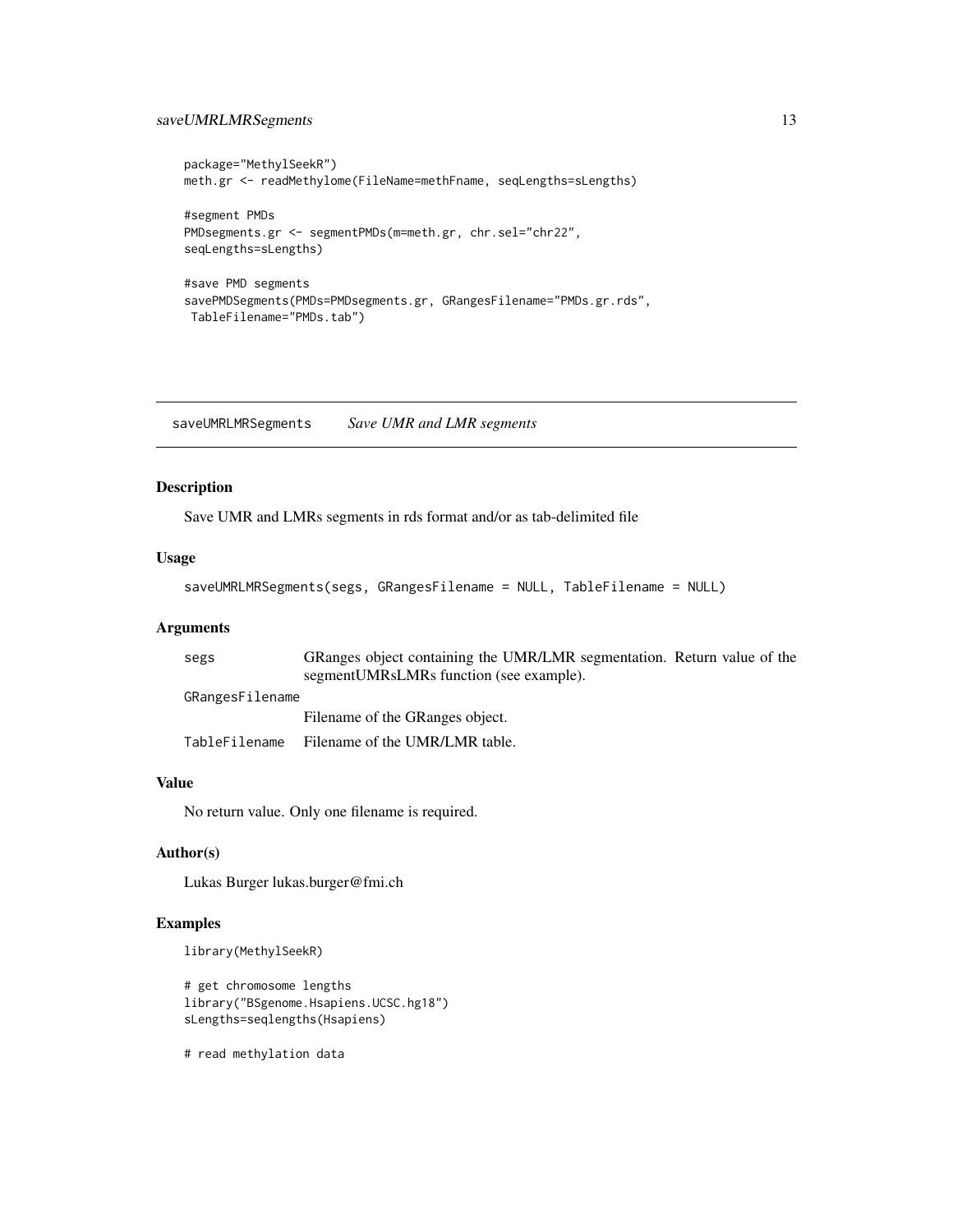#### <span id="page-12-0"></span>saveUMRLMRSegments 13

```
package="MethylSeekR")
meth.gr <- readMethylome(FileName=methFname, seqLengths=sLengths)
#segment PMDs
PMDsegments.gr <- segmentPMDs(m=meth.gr, chr.sel="chr22",
seqLengths=sLengths)
#save PMD segments
savePMDSegments(PMDs=PMDsegments.gr, GRangesFilename="PMDs.gr.rds",
TableFilename="PMDs.tab")
```
saveUMRLMRSegments *Save UMR and LMR segments*

#### Description

Save UMR and LMRs segments in rds format and/or as tab-delimited file

#### Usage

```
saveUMRLMRSegments(segs, GRangesFilename = NULL, TableFilename = NULL)
```
#### Arguments

| segs            | GRanges object containing the UMR/LMR segmentation. Return value of the |
|-----------------|-------------------------------------------------------------------------|
|                 | segment UMRsLMRs function (see example).                                |
| GRangesFilename |                                                                         |
|                 | Filename of the GRanges object.                                         |
| TableFilename   | Filename of the UMR/LMR table.                                          |

#### Value

No return value. Only one filename is required.

#### Author(s)

Lukas Burger lukas.burger@fmi.ch

#### Examples

```
library(MethylSeekR)
```

```
# get chromosome lengths
library("BSgenome.Hsapiens.UCSC.hg18")
sLengths=seqlengths(Hsapiens)
```
# read methylation data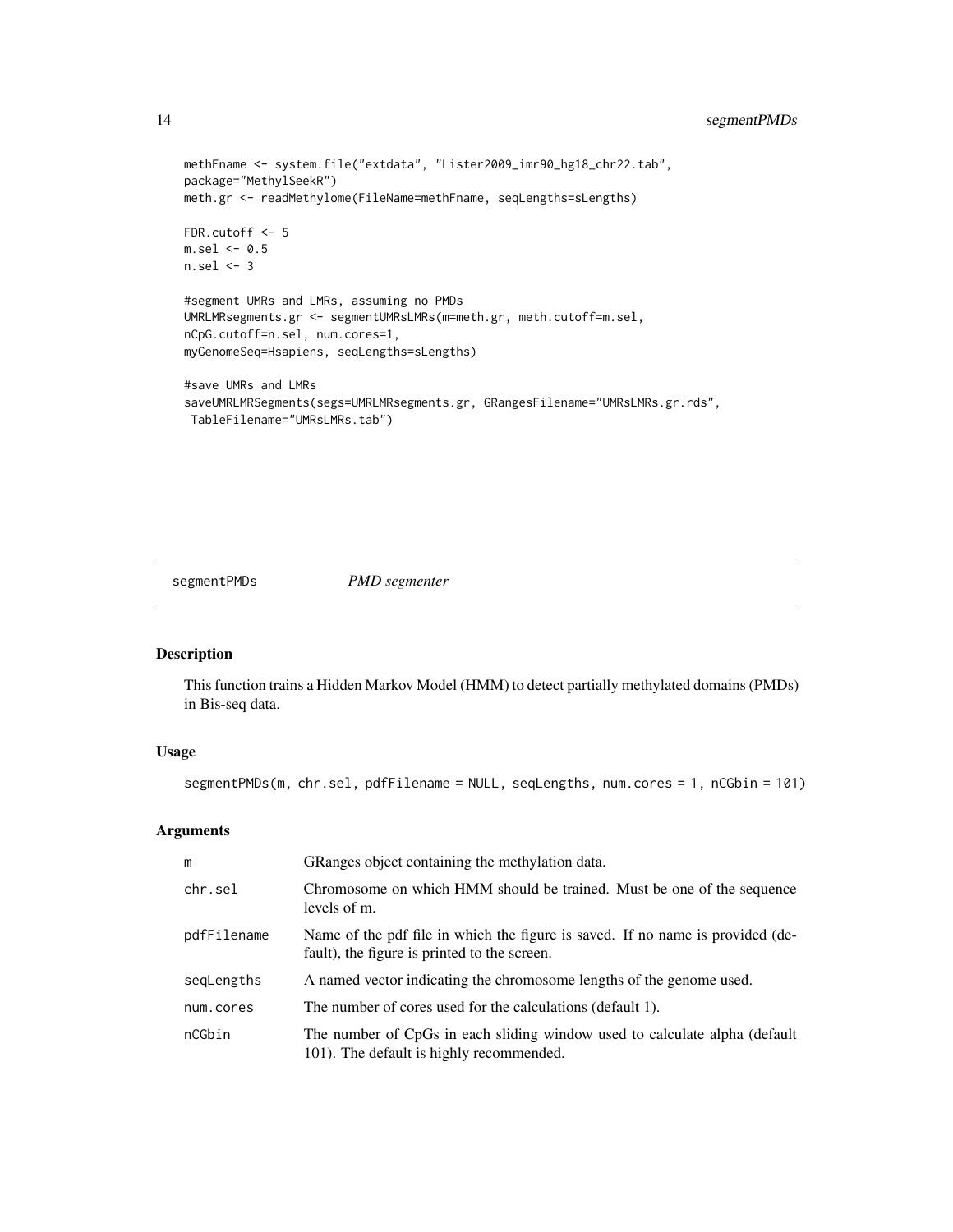```
methFname <- system.file("extdata", "Lister2009_imr90_hg18_chr22.tab",
package="MethylSeekR")
meth.gr <- readMethylome(FileName=methFname, seqLengths=sLengths)
FDR.cutoff <- 5
m.sel \leq 0.5n.set < -3#segment UMRs and LMRs, assuming no PMDs
UMRLMRsegments.gr <- segmentUMRsLMRs(m=meth.gr, meth.cutoff=m.sel,
nCpG.cutoff=n.sel, num.cores=1,
myGenomeSeq=Hsapiens, seqLengths=sLengths)
#save UMRs and LMRs
saveUMRLMRSegments(segs=UMRLMRsegments.gr, GRangesFilename="UMRsLMRs.gr.rds",
TableFilename="UMRsLMRs.tab")
```
segmentPMDs *PMD segmenter*

#### Description

This function trains a Hidden Markov Model (HMM) to detect partially methylated domains (PMDs) in Bis-seq data.

#### Usage

```
segmentPMDs(m, chr.sel, pdfFilename = NULL, seqLengths, num.cores = 1, nCGbin = 101)
```
#### Arguments

| m           | GRanges object containing the methylation data.                                                                                |
|-------------|--------------------------------------------------------------------------------------------------------------------------------|
| chr.sel     | Chromosome on which HMM should be trained. Must be one of the sequence<br>levels of m.                                         |
| pdfFilename | Name of the pdf file in which the figure is saved. If no name is provided (de-<br>fault), the figure is printed to the screen. |
| segLengths  | A named vector indicating the chromosome lengths of the genome used.                                                           |
| num.cores   | The number of cores used for the calculations (default 1).                                                                     |
| nCGbin      | The number of CpGs in each sliding window used to calculate alpha (default<br>101). The default is highly recommended.         |

<span id="page-13-0"></span>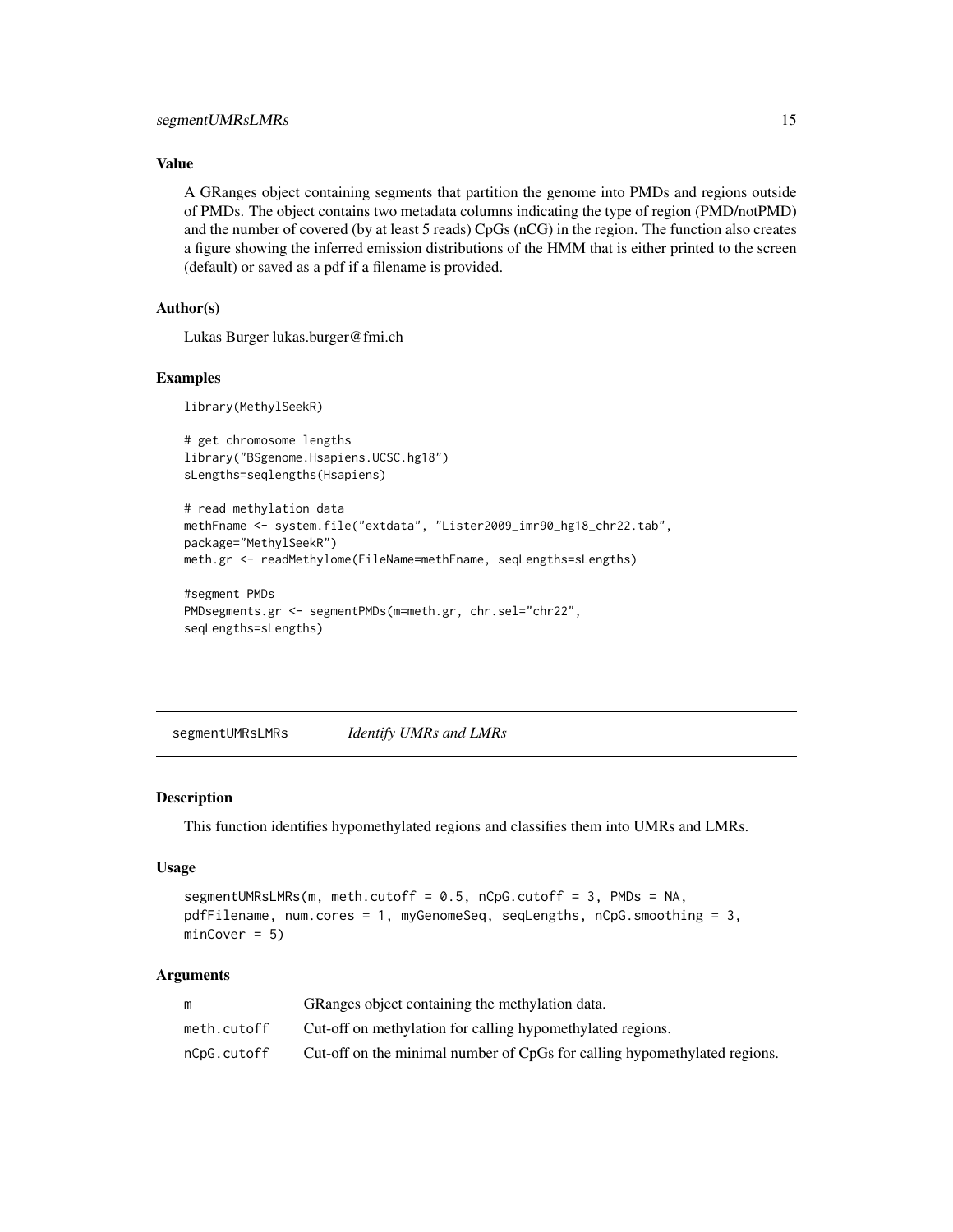#### <span id="page-14-0"></span>Value

A GRanges object containing segments that partition the genome into PMDs and regions outside of PMDs. The object contains two metadata columns indicating the type of region (PMD/notPMD) and the number of covered (by at least 5 reads) CpGs (nCG) in the region. The function also creates a figure showing the inferred emission distributions of the HMM that is either printed to the screen (default) or saved as a pdf if a filename is provided.

#### Author(s)

Lukas Burger lukas.burger@fmi.ch

#### Examples

library(MethylSeekR)

```
# get chromosome lengths
library("BSgenome.Hsapiens.UCSC.hg18")
sLengths=seqlengths(Hsapiens)
```

```
# read methylation data
methFname <- system.file("extdata", "Lister2009_imr90_hg18_chr22.tab",
package="MethylSeekR")
meth.gr <- readMethylome(FileName=methFname, seqLengths=sLengths)
```

```
#segment PMDs
PMDsegments.gr <- segmentPMDs(m=meth.gr, chr.sel="chr22",
seqLengths=sLengths)
```
segmentUMRsLMRs *Identify UMRs and LMRs*

#### Description

This function identifies hypomethylated regions and classifies them into UMRs and LMRs.

#### Usage

```
segmentUMRsLMRs(m, meth.cutoff = 0.5, nCpG.cutoff = 3, PMDs = NA,
pdfFilename, num.cores = 1, myGenomeSeq, seqLengths, nCpG.smoothing = 3,
minCover = 5)
```
#### Arguments

|             | GRanges object containing the methylation data.                           |
|-------------|---------------------------------------------------------------------------|
| meth.cutoff | Cut-off on methylation for calling hypomethylated regions.                |
| nCpG.cutoff | Cut-off on the minimal number of CpGs for calling hypomethylated regions. |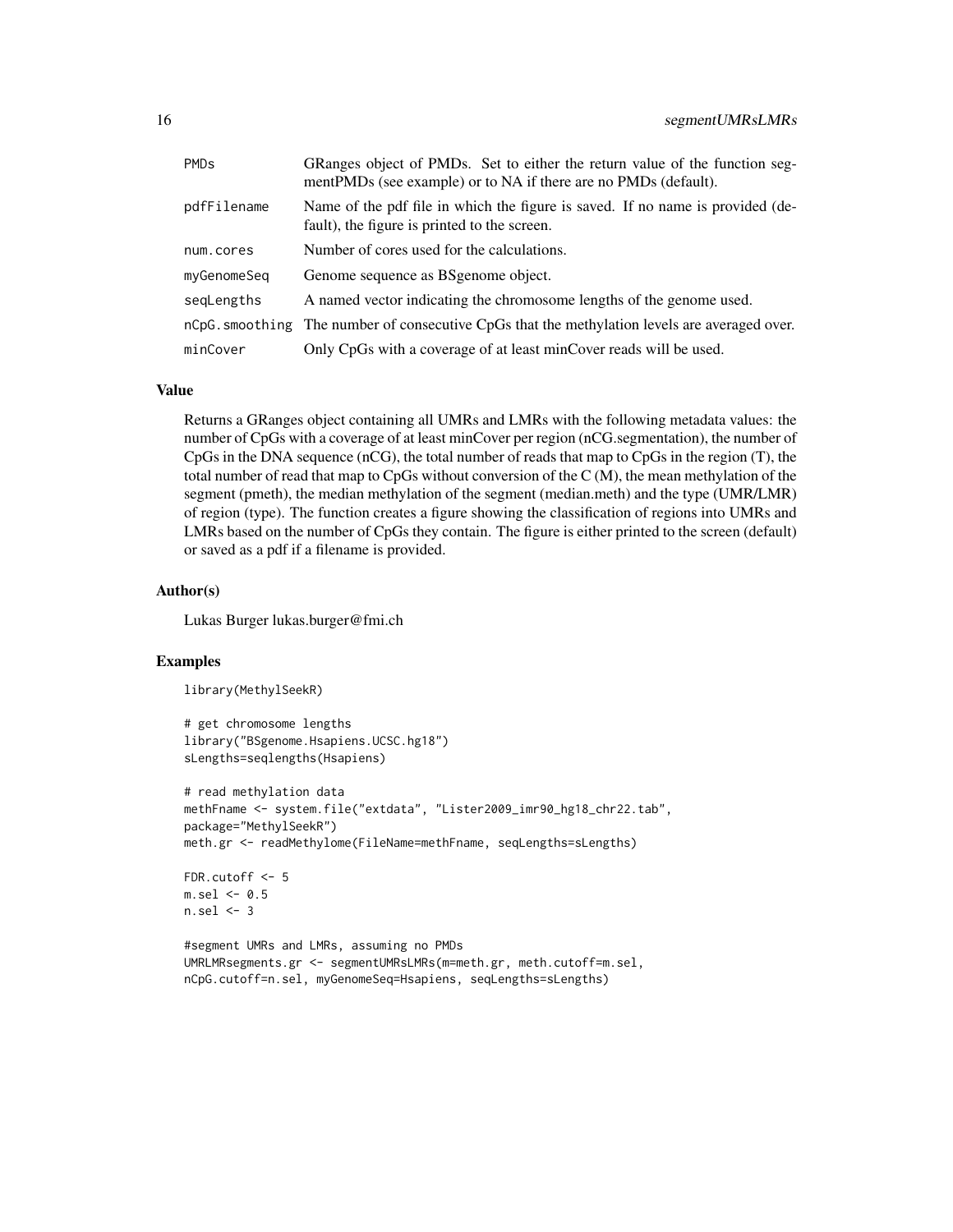| <b>PMD<sub>s</sub></b> | GRanges object of PMDs. Set to either the return value of the function seg-<br>mentPMDs (see example) or to NA if there are no PMDs (default). |
|------------------------|------------------------------------------------------------------------------------------------------------------------------------------------|
| pdfFilename            | Name of the pdf file in which the figure is saved. If no name is provided (de-<br>fault), the figure is printed to the screen.                 |
| num.cores              | Number of cores used for the calculations.                                                                                                     |
| myGenomeSeq            | Genome sequence as BS genome object.                                                                                                           |
| segLengths             | A named vector indicating the chromosome lengths of the genome used.                                                                           |
|                        | nCpG. smoothing The number of consecutive CpGs that the methylation levels are averaged over.                                                  |
| minCover               | Only CpGs with a coverage of at least minCover reads will be used.                                                                             |

#### Value

Returns a GRanges object containing all UMRs and LMRs with the following metadata values: the number of CpGs with a coverage of at least minCover per region (nCG.segmentation), the number of CpGs in the DNA sequence (nCG), the total number of reads that map to CpGs in the region (T), the total number of read that map to CpGs without conversion of the C (M), the mean methylation of the segment (pmeth), the median methylation of the segment (median.meth) and the type (UMR/LMR) of region (type). The function creates a figure showing the classification of regions into UMRs and LMRs based on the number of CpGs they contain. The figure is either printed to the screen (default) or saved as a pdf if a filename is provided.

#### Author(s)

Lukas Burger lukas.burger@fmi.ch

#### Examples

library(MethylSeekR)

```
# get chromosome lengths
library("BSgenome.Hsapiens.UCSC.hg18")
sLengths=seqlengths(Hsapiens)
```

```
# read methylation data
methFname <- system.file("extdata", "Lister2009_imr90_hg18_chr22.tab",
package="MethylSeekR")
meth.gr <- readMethylome(FileName=methFname, seqLengths=sLengths)
```

```
FDR.cutoff <-5m.sel < -0.5n.set1 < -3
```

```
#segment UMRs and LMRs, assuming no PMDs
UMRLMRsegments.gr <- segmentUMRsLMRs(m=meth.gr, meth.cutoff=m.sel,
nCpG.cutoff=n.sel, myGenomeSeq=Hsapiens, seqLengths=sLengths)
```